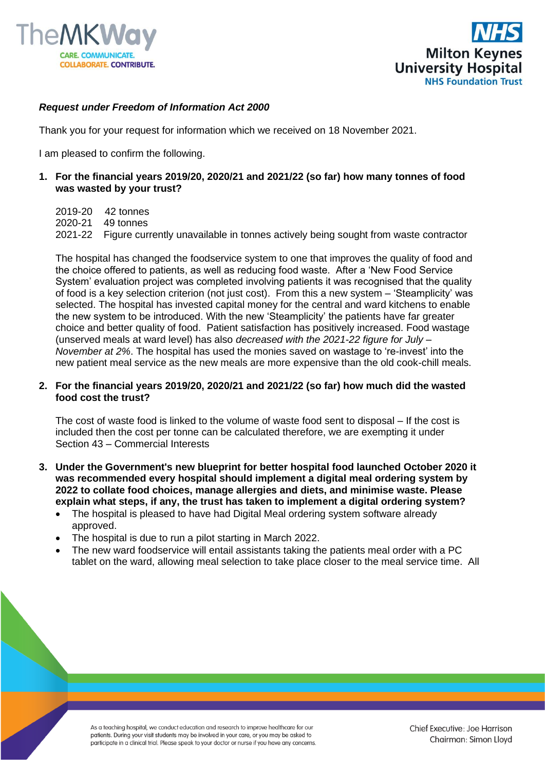



## *Request under Freedom of Information Act 2000*

Thank you for your request for information which we received on 18 November 2021.

I am pleased to confirm the following.

**1. For the financial years 2019/20, 2020/21 and 2021/22 (so far) how many tonnes of food was wasted by your trust?**

2019-20 42 tonnes 2020-21 49 tonnes 2021-22 Figure currently unavailable in tonnes actively being sought from waste contractor

The hospital has changed the foodservice system to one that improves the quality of food and the choice offered to patients, as well as reducing food waste. After a 'New Food Service System' evaluation project was completed involving patients it was recognised that the quality of food is a key selection criterion (not just cost). From this a new system – 'Steamplicity' was selected. The hospital has invested capital money for the central and ward kitchens to enable the new system to be introduced. With the new 'Steamplicity' the patients have far greater choice and better quality of food. Patient satisfaction has positively increased. Food wastage (unserved meals at ward level) has also *decreased with the 2021-22 figure for July – November at 2%*. The hospital has used the monies saved on wastage to 're-invest' into the new patient meal service as the new meals are more expensive than the old cook-chill meals.

## **2. For the financial years 2019/20, 2020/21 and 2021/22 (so far) how much did the wasted food cost the trust?**

The cost of waste food is linked to the volume of waste food sent to disposal – If the cost is included then the cost per tonne can be calculated therefore, we are exempting it under Section 43 – Commercial Interests

- **3. Under the Government's new blueprint for better hospital food launched October 2020 it was recommended every hospital should implement a digital meal ordering system by 2022 to collate food choices, manage allergies and diets, and minimise waste. Please explain what steps, if any, the trust has taken to implement a digital ordering system?**
	- The hospital is pleased to have had Digital Meal ordering system software already approved.
	- The hospital is due to run a pilot starting in March 2022.
	- The new ward foodservice will entail assistants taking the patients meal order with a PC tablet on the ward, allowing meal selection to take place closer to the meal service time. All

As a teaching hospital, we conduct education and research to improve healthcare for our patients. During your visit students may be involved in your care, or you may be asked to participate in a clinical trial. Please speak to your doctor or nurse if you have any concerns.